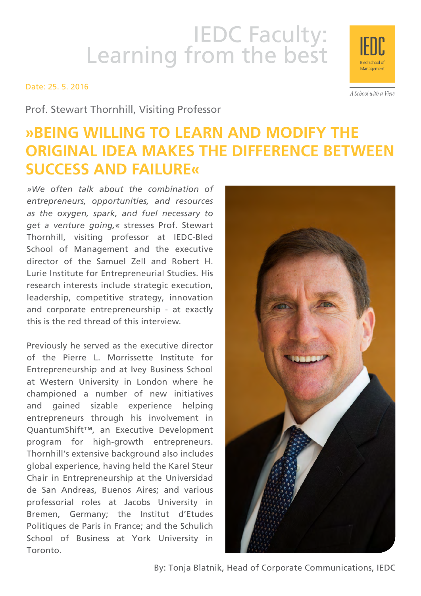# IEDC Faculty:<br>Learning from the best

Date: 25. 5. 2016

Prof. Stewart Thornhill, Visiting Professor

## **»Being willing to learn and modify the ORIGINAL IDEA MAKES THE DIFFERENCE BETWEEN success and failure«**

*»We often talk about the combination of entrepreneurs, opportunities, and resources as the oxygen, spark, and fuel necessary to get a venture going,«* stresses Prof. Stewart Thornhill, visiting professor at IEDC-Bled School of Management and the executive director of the Samuel Zell and Robert H. Lurie Institute for Entrepreneurial Studies. His research interests include strategic execution, leadership, competitive strategy, innovation and corporate entrepreneurship - at exactly this is the red thread of this interview.

Previously he served as the executive director of the Pierre L. Morrissette Institute for Entrepreneurship and at Ivey Business School at Western University in London where he championed a number of new initiatives and gained sizable experience helping entrepreneurs through his involvement in QuantumShift™, an Executive Development program for high-growth entrepreneurs. Thornhill's extensive background also includes global experience, having held the Karel Steur Chair in Entrepreneurship at the Universidad de San Andreas, Buenos Aires; and various professorial roles at Jacobs University in Bremen, Germany; the Institut d'Etudes Politiques de Paris in France; and the Schulich School of Business at York University in Toronto.





A School with a View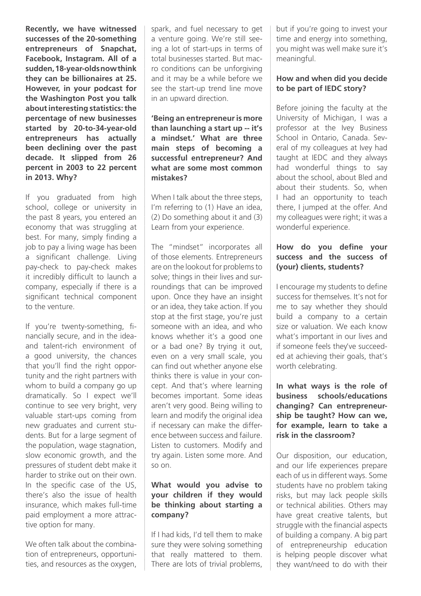**Recently, we have witnessed successes of the 20-something entrepreneurs of Snapchat, Facebook, Instagram. All of a sudden, 18-year-olds now think they can be billionaires at 25. However, in your podcast for the Washington Post you talk about interesting statistics: the percentage of new businesses started by 20-to-34-year-old entrepreneurs has actually been declining over the past decade. It slipped from 26 percent in 2003 to 22 percent in 2013. Why?**

If you graduated from high school, college or university in the past 8 years, you entered an economy that was struggling at best. For many, simply finding a job to pay a living wage has been a significant challenge. Living pay-check to pay-check makes it incredibly difficult to launch a company, especially if there is a significant technical component to the venture.

If you're twenty-something, financially secure, and in the ideaand talent-rich environment of a good university, the chances that you'll find the right opportunity and the right partners with whom to build a company go up dramatically. So I expect we'll continue to see very bright, very valuable start-ups coming from new graduates and current students. But for a large segment of the population, wage stagnation, slow economic growth, and the pressures of student debt make it harder to strike out on their own. In the specific case of the US, there's also the issue of health insurance, which makes full-time paid employment a more attractive option for many.

We often talk about the combination of entrepreneurs, opportunities, and resources as the oxygen, spark, and fuel necessary to get a venture going. We're still seeing a lot of start-ups in terms of total businesses started. But macro conditions can be unforgiving and it may be a while before we see the start-up trend line move in an upward direction.

**'Being an entrepreneur is more than launching a start up -- it's a mindset.' What are three main steps of becoming a successful entrepreneur? And what are some most common mistakes?**

When I talk about the three steps, I'm referring to (1) Have an idea, (2) Do something about it and (3) Learn from your experience.

The "mindset" incorporates all of those elements. Entrepreneurs are on the lookout for problems to solve; things in their lives and surroundings that can be improved upon. Once they have an insight or an idea, they take action. If you stop at the first stage, you're just someone with an idea, and who knows whether it's a good one or a bad one? By trying it out, even on a very small scale, you can find out whether anyone else thinks there is value in your concept. And that's where learning becomes important. Some ideas aren't very good. Being willing to learn and modify the original idea if necessary can make the difference between success and failure. Listen to customers. Modify and try again. Listen some more. And so on.

#### **What would you advise to your children if they would be thinking about starting a company?**

If I had kids, I'd tell them to make sure they were solving something that really mattered to them. There are lots of trivial problems, but if you're going to invest your time and energy into something, you might was well make sure it's meaningful.

#### **How and when did you decide to be part of IEDC story?**

Before joining the faculty at the University of Michigan, I was a professor at the Ivey Business School in Ontario, Canada. Several of my colleagues at Ivey had taught at IEDC and they always had wonderful things to say about the school, about Bled and about their students. So, when I had an opportunity to teach there, I jumped at the offer. And my colleagues were right; it was a wonderful experience.

### **How do you define your success and the success of (your) clients, students?**

I encourage my students to define success for themselves. It's not for me to say whether they should build a company to a certain size or valuation. We each know what's important in our lives and if someone feels they've succeeded at achieving their goals, that's worth celebrating.

**In what ways is the role of business schools/educations changing? Can entrepreneurship be taught? How can we, for example, learn to take a risk in the classroom?**

Our disposition, our education, and our life experiences prepare each of us in different ways. Some students have no problem taking risks, but may lack people skills or technical abilities. Others may have great creative talents, but struggle with the financial aspects of building a company. A big part of entrepreneurship education is helping people discover what they want/need to do with their